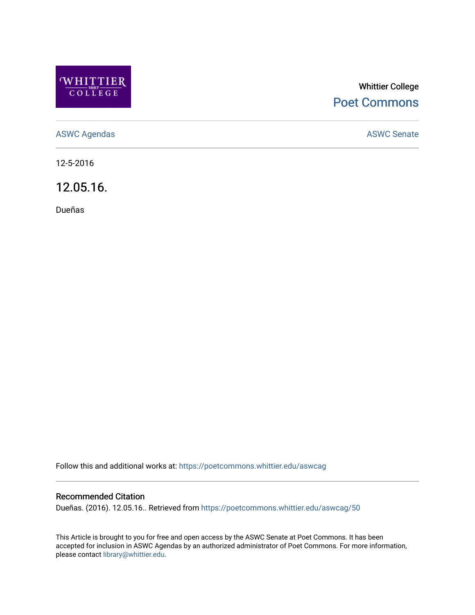

## Whittier College [Poet Commons](https://poetcommons.whittier.edu/)

[ASWC Agendas](https://poetcommons.whittier.edu/aswcag) **ASWC Senate** 

12-5-2016

12.05.16.

Dueñas

Follow this and additional works at: [https://poetcommons.whittier.edu/aswcag](https://poetcommons.whittier.edu/aswcag?utm_source=poetcommons.whittier.edu%2Faswcag%2F50&utm_medium=PDF&utm_campaign=PDFCoverPages) 

## Recommended Citation

Dueñas. (2016). 12.05.16.. Retrieved from [https://poetcommons.whittier.edu/aswcag/50](https://poetcommons.whittier.edu/aswcag/50?utm_source=poetcommons.whittier.edu%2Faswcag%2F50&utm_medium=PDF&utm_campaign=PDFCoverPages) 

This Article is brought to you for free and open access by the ASWC Senate at Poet Commons. It has been accepted for inclusion in ASWC Agendas by an authorized administrator of Poet Commons. For more information, please contact [library@whittier.edu](mailto:library@whittier.edu).